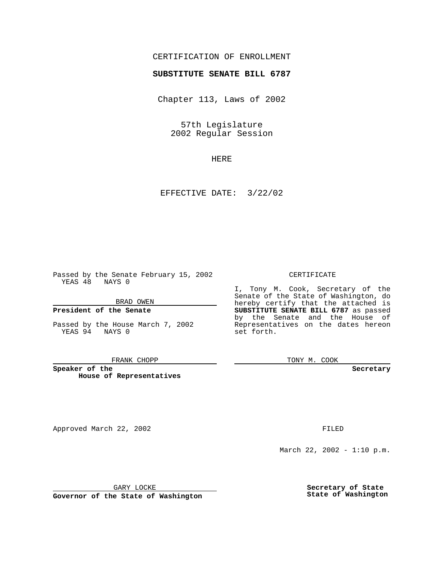## CERTIFICATION OF ENROLLMENT

# **SUBSTITUTE SENATE BILL 6787**

Chapter 113, Laws of 2002

57th Legislature 2002 Regular Session

HERE

EFFECTIVE DATE: 3/22/02

Passed by the Senate February 15, 2002 YEAS 48 NAYS 0

BRAD OWEN

### **President of the Senate**

Passed by the House March 7, 2002 YEAS 94 NAYS 0

#### FRANK CHOPP

**Speaker of the House of Representatives**

Approved March 22, 2002 **FILED** 

#### CERTIFICATE

I, Tony M. Cook, Secretary of the Senate of the State of Washington, do hereby certify that the attached is **SUBSTITUTE SENATE BILL 6787** as passed by the Senate and the House of Representatives on the dates hereon set forth.

TONY M. COOK

**Secretary**

March 22, 2002 - 1:10 p.m.

GARY LOCKE

**Governor of the State of Washington**

**Secretary of State State of Washington**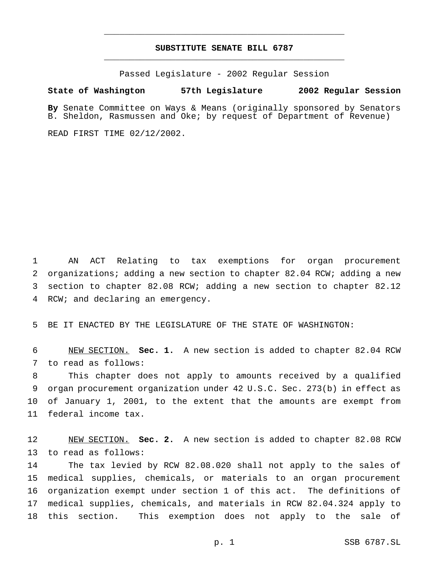# **SUBSTITUTE SENATE BILL 6787** \_\_\_\_\_\_\_\_\_\_\_\_\_\_\_\_\_\_\_\_\_\_\_\_\_\_\_\_\_\_\_\_\_\_\_\_\_\_\_\_\_\_\_\_\_\_\_

\_\_\_\_\_\_\_\_\_\_\_\_\_\_\_\_\_\_\_\_\_\_\_\_\_\_\_\_\_\_\_\_\_\_\_\_\_\_\_\_\_\_\_\_\_\_\_

Passed Legislature - 2002 Regular Session

#### **State of Washington 57th Legislature 2002 Regular Session**

**By** Senate Committee on Ways & Means (originally sponsored by Senators B. Sheldon, Rasmussen and Oke; by request of Department of Revenue)

READ FIRST TIME 02/12/2002.

 AN ACT Relating to tax exemptions for organ procurement organizations; adding a new section to chapter 82.04 RCW; adding a new section to chapter 82.08 RCW; adding a new section to chapter 82.12 RCW; and declaring an emergency.

BE IT ENACTED BY THE LEGISLATURE OF THE STATE OF WASHINGTON:

 NEW SECTION. **Sec. 1.** A new section is added to chapter 82.04 RCW to read as follows:

 This chapter does not apply to amounts received by a qualified organ procurement organization under 42 U.S.C. Sec. 273(b) in effect as of January 1, 2001, to the extent that the amounts are exempt from federal income tax.

 NEW SECTION. **Sec. 2.** A new section is added to chapter 82.08 RCW to read as follows:

 The tax levied by RCW 82.08.020 shall not apply to the sales of medical supplies, chemicals, or materials to an organ procurement organization exempt under section 1 of this act. The definitions of medical supplies, chemicals, and materials in RCW 82.04.324 apply to this section. This exemption does not apply to the sale of